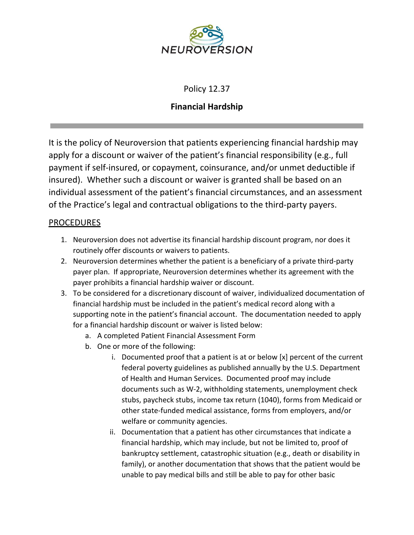

## Policy 12.37

## **Financial Hardship**

It is the policy of Neuroversion that patients experiencing financial hardship may apply for a discount or waiver of the patient's financial responsibility (e.g., full payment if self-insured, or copayment, coinsurance, and/or unmet deductible if insured). Whether such a discount or waiver is granted shall be based on an individual assessment of the patient's financial circumstances, and an assessment of the Practice's legal and contractual obligations to the third-party payers.

## **PROCEDURES**

- 1. Neuroversion does not advertise its financial hardship discount program, nor does it routinely offer discounts or waivers to patients.
- 2. Neuroversion determines whether the patient is a beneficiary of a private third-party payer plan. If appropriate, Neuroversion determines whether its agreement with the payer prohibits a financial hardship waiver or discount.
- 3. To be considered for a discretionary discount of waiver, individualized documentation of financial hardship must be included in the patient's medical record along with a supporting note in the patient's financial account. The documentation needed to apply for a financial hardship discount or waiver is listed below:
	- a. A completed Patient Financial Assessment Form
	- b. One or more of the following:
		- i. Documented proof that a patient is at or below [x] percent of the current federal poverty guidelines as published annually by the U.S. Department of Health and Human Services. Documented proof may include documents such as W-2, withholding statements, unemployment check stubs, paycheck stubs, income tax return (1040), forms from Medicaid or other state-funded medical assistance, forms from employers, and/or welfare or community agencies.
		- ii. Documentation that a patient has other circumstances that indicate a financial hardship, which may include, but not be limited to, proof of bankruptcy settlement, catastrophic situation (e.g., death or disability in family), or another documentation that shows that the patient would be unable to pay medical bills and still be able to pay for other basic